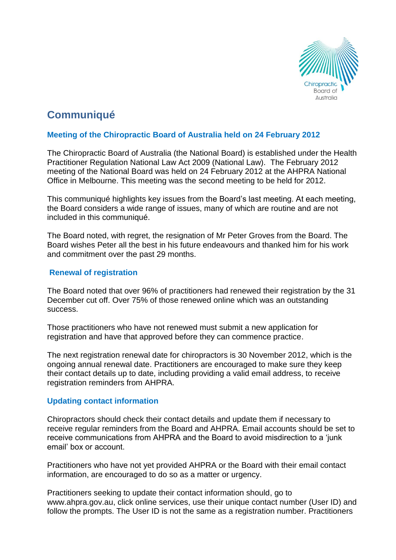

# **Communiqué**

# **Meeting of the Chiropractic Board of Australia held on 24 February 2012**

The Chiropractic Board of Australia (the National Board) is established under the Health Practitioner Regulation National Law Act 2009 (National Law). The February 2012 meeting of the National Board was held on 24 February 2012 at the AHPRA National Office in Melbourne. This meeting was the second meeting to be held for 2012.

This communiqué highlights key issues from the Board's last meeting. At each meeting, the Board considers a wide range of issues, many of which are routine and are not included in this communiqué.

The Board noted, with regret, the resignation of Mr Peter Groves from the Board. The Board wishes Peter all the best in his future endeavours and thanked him for his work and commitment over the past 29 months.

# **Renewal of registration**

The Board noted that over 96% of practitioners had renewed their registration by the 31 December cut off. Over 75% of those renewed online which was an outstanding success.

Those practitioners who have not renewed must submit a new application for registration and have that approved before they can commence practice.

The next registration renewal date for chiropractors is 30 November 2012, which is the ongoing annual renewal date. Practitioners are encouraged to make sure they keep their contact details up to date, including providing a valid email address, to receive registration reminders from AHPRA.

## **Updating contact information**

Chiropractors should check their contact details and update them if necessary to receive regular reminders from the Board and AHPRA. Email accounts should be set to receive communications from AHPRA and the Board to avoid misdirection to a 'junk email' box or account.

Practitioners who have not yet provided AHPRA or the Board with their email contact information, are encouraged to do so as a matter or urgency.

Practitioners seeking to update their contact information should, go to www.ahpra.gov.au, click online services, use their unique contact number (User ID) and follow the prompts. The User ID is not the same as a registration number. Practitioners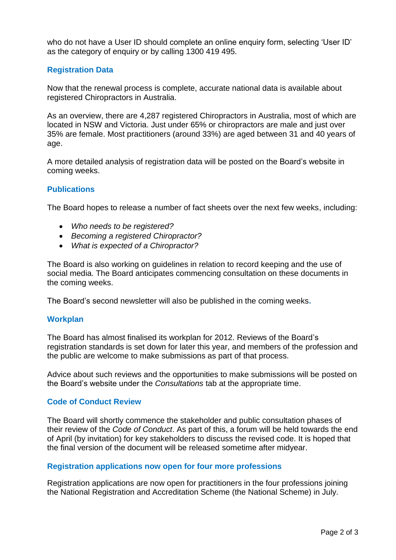who do not have a User ID should complete an online enquiry form, selecting 'User ID' as the category of enquiry or by calling 1300 419 495.

## **Registration Data**

Now that the renewal process is complete, accurate national data is available about registered Chiropractors in Australia.

As an overview, there are 4,287 registered Chiropractors in Australia, most of which are located in NSW and Victoria. Just under 65% or chiropractors are male and just over 35% are female. Most practitioners (around 33%) are aged between 31 and 40 years of age.

A more detailed analysis of registration data will be posted on the Board's website in coming weeks.

#### **Publications**

The Board hopes to release a number of fact sheets over the next few weeks, including:

- *Who needs to be registered?*
- *Becoming a registered Chiropractor?*
- *What is expected of a Chiropractor?*

The Board is also working on guidelines in relation to record keeping and the use of social media. The Board anticipates commencing consultation on these documents in the coming weeks.

The Board's second newsletter will also be published in the coming weeks**.**

#### **Workplan**

The Board has almost finalised its workplan for 2012. Reviews of the Board's registration standards is set down for later this year, and members of the profession and the public are welcome to make submissions as part of that process.

Advice about such reviews and the opportunities to make submissions will be posted on the Board's website under the *Consultations* tab at the appropriate time.

## **Code of Conduct Review**

The Board will shortly commence the stakeholder and public consultation phases of their review of the *Code of Conduct*. As part of this, a forum will be held towards the end of April (by invitation) for key stakeholders to discuss the revised code. It is hoped that the final version of the document will be released sometime after midyear.

#### **Registration applications now open for four more professions**

Registration applications are now open for practitioners in the four professions joining the National Registration and Accreditation Scheme (the National Scheme) in July.